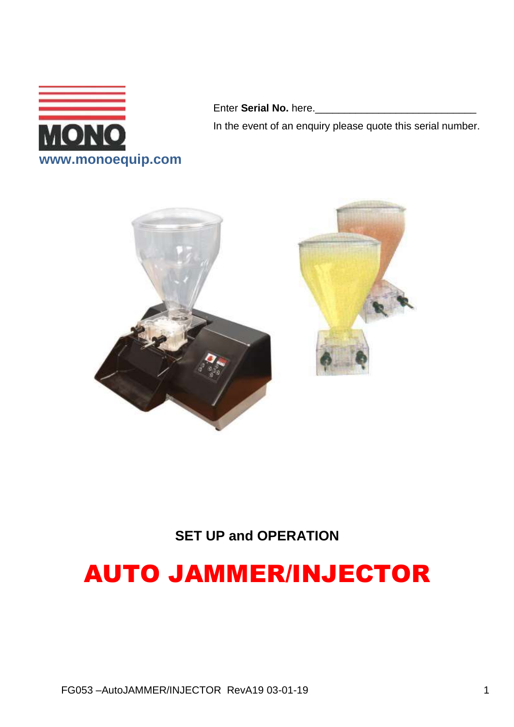

Enter Serial No. here.\_\_\_

In the event of an enquiry please quote this serial number.



### **SET UP and OPERATION**

# AUTO JAMMER/INJECTOR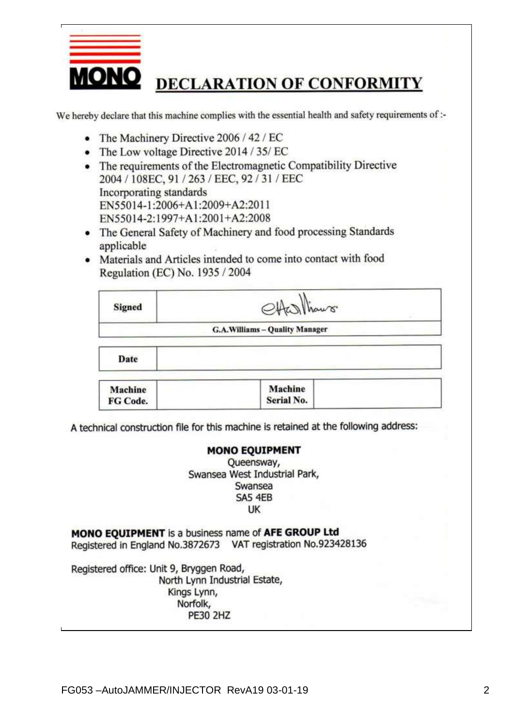

We hereby declare that this machine complies with the essential health and safety requirements of :-

- The Machinery Directive 2006 / 42 / EC
- The Low voltage Directive 2014 / 35/ EC
- The requirements of the Electromagnetic Compatibility Directive 2004 / 108EC, 91 / 263 / EEC, 92 / 31 / EEC Incorporating standards EN55014-1:2006+A1:2009+A2:2011 EN55014-2:1997+A1:2001+A2:2008
- The General Safety of Machinery and food processing Standards applicable
- Materials and Articles intended to come into contact with food Regulation (EC) No. 1935 / 2004

| <b>Signed</b>  | Aks Thaws.                     |
|----------------|--------------------------------|
|                | G.A.Williams - Quality Manager |
| Date           |                                |
| <b>Machine</b> | Machine                        |

Serial No.

A technical construction file for this machine is retained at the following address:

#### **MONO EOUIPMENT**

Queensway, Swansea West Industrial Park, Swansea SA5 4EB UK

MONO EQUIPMENT is a business name of AFE GROUP Ltd Registered in England No.3872673 VAT registration No.923428136

Registered office: Unit 9, Bryggen Road, North Lynn Industrial Estate, Kings Lynn, Norfolk, **PE30 2HZ** 

FG Code.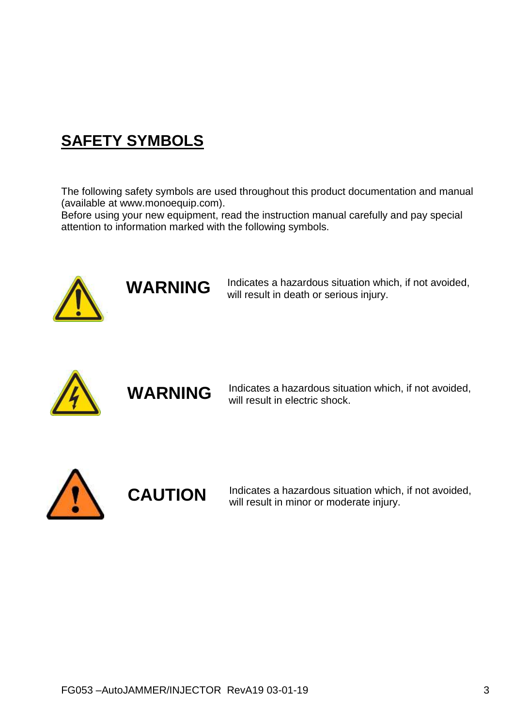# **SAFETY SYMBOLS**

The following safety symbols are used throughout this product documentation and manual (available at www.monoequip.com).

Before using your new equipment, read the instruction manual carefully and pay special attention to information marked with the following symbols.



**WARNING**

Indicates a hazardous situation which, if not avoided, will result in death or serious injury.



**WARNING**

Indicates a hazardous situation which, if not avoided, will result in electric shock.



**CAUTION**

Indicates a hazardous situation which, if not avoided, will result in minor or moderate injury.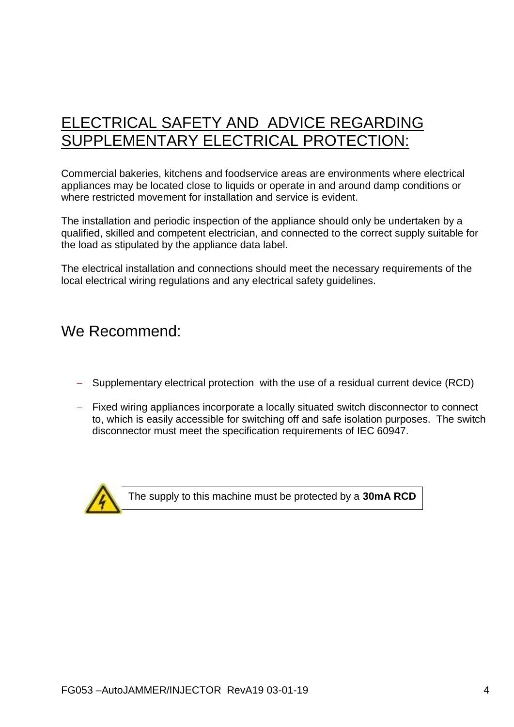## ELECTRICAL SAFETY AND ADVICE REGARDING SUPPLEMENTARY ELECTRICAL PROTECTION:

Commercial bakeries, kitchens and foodservice areas are environments where electrical appliances may be located close to liquids or operate in and around damp conditions or where restricted movement for installation and service is evident.

The installation and periodic inspection of the appliance should only be undertaken by a qualified, skilled and competent electrician, and connected to the correct supply suitable for the load as stipulated by the appliance data label.

The electrical installation and connections should meet the necessary requirements of the local electrical wiring regulations and any electrical safety guidelines.

### We Recommend:

- Supplementary electrical protection with the use of a residual current device (RCD)
- Fixed wiring appliances incorporate a locally situated switch disconnector to connect to, which is easily accessible for switching off and safe isolation purposes. The switch disconnector must meet the specification requirements of IEC 60947.



The supply to this machine must be protected by a **30mA RCD**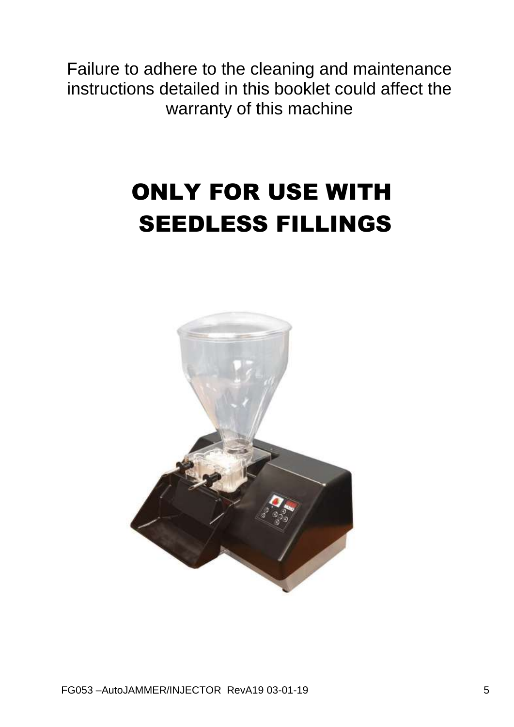Failure to adhere to the cleaning and maintenance instructions detailed in this booklet could affect the warranty of this machine

# ONLY FOR USE WITH SEEDLESS FILLINGS

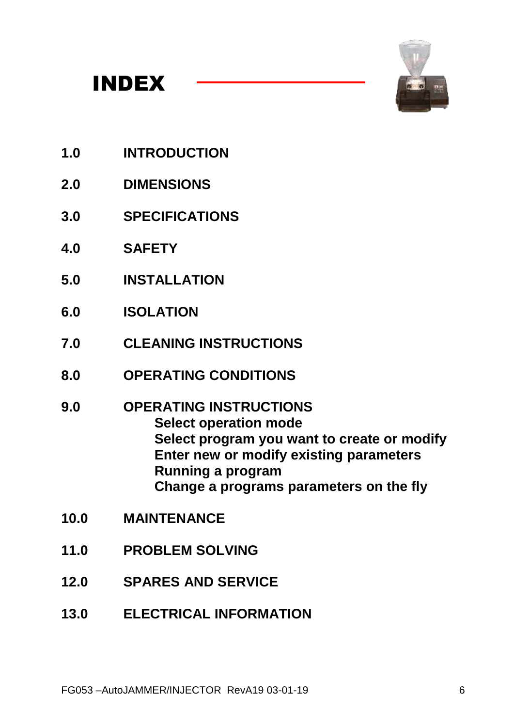



- **1.0 INTRODUCTION**
- **2.0 DIMENSIONS**
- **3.0 SPECIFICATIONS**
- **4.0 SAFETY**
- **5.0 INSTALLATION**
- **6.0 ISOLATION**
- **7.0 CLEANING INSTRUCTIONS**
- **8.0 OPERATING CONDITIONS**
- **9.0 OPERATING INSTRUCTIONS Select operation mode Select program you want to create or modify Enter new or modify existing parameters Running a program Change a programs parameters on the fly**
- **10.0 MAINTENANCE**
- **11.0 PROBLEM SOLVING**
- **12.0 SPARES AND SERVICE**
- **13.0 ELECTRICAL INFORMATION**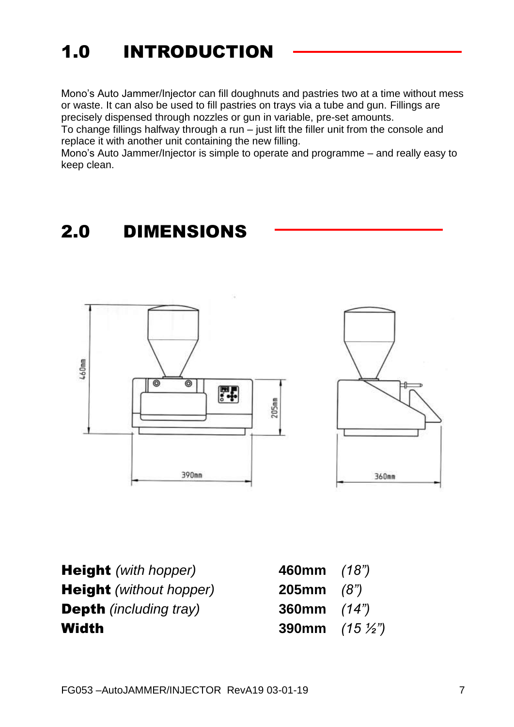# 1.0 INTRODUCTION

Mono's Auto Jammer/Injector can fill doughnuts and pastries two at a time without mess or waste. It can also be used to fill pastries on trays via a tube and gun. Fillings are precisely dispensed through nozzles or gun in variable, pre-set amounts.

To change fillings halfway through a run – just lift the filler unit from the console and replace it with another unit containing the new filling.

Mono's Auto Jammer/Injector is simple to operate and programme – and really easy to keep clean.

# 2.0 DIMENSIONS





**Height** *(with hopper)* **Height** *(without hopper)* **Depth** *(including tray)* Width **390mm** *(15 ½")*

| 460mm        | (18")              |
|--------------|--------------------|
| <b>205mm</b> | (8")               |
| 360mm        | (14")              |
| 390mm        | $(15 \frac{1}{2})$ |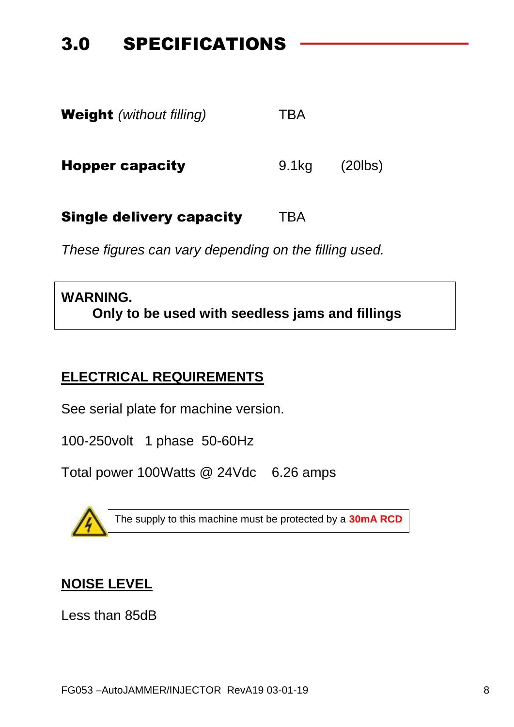# 3.0 SPECIFICATIONS

| <b>Weight</b> (without filling) | TBA   |            |
|---------------------------------|-------|------------|
| <b>Hopper capacity</b>          | 9.1kg | $(20$ lbs) |
| <b>Single delivery capacity</b> | TBA   |            |

*These figures can vary depending on the filling used.*

### **WARNING. Only to be used with seedless jams and fillings**

### **ELECTRICAL REQUIREMENTS**

See serial plate for machine version.

100-250volt 1 phase 50-60Hz

Total power 100Watts @ 24Vdc 6.26 amps



The supply to this machine must be protected by a **30mA RCD**

### **NOISE LEVEL**

Less than 85dB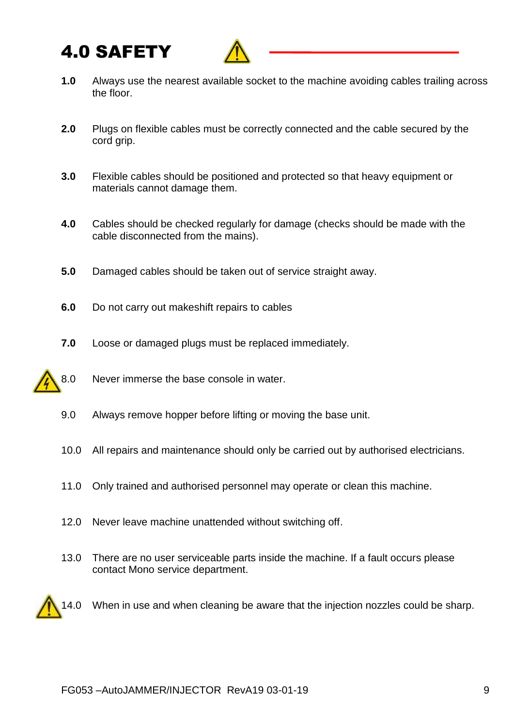# 4.0 SAFETY



- **1.0** Always use the nearest available socket to the machine avoiding cables trailing across the floor.
- **2.0** Plugs on flexible cables must be correctly connected and the cable secured by the cord grip.
- **3.0** Flexible cables should be positioned and protected so that heavy equipment or materials cannot damage them.
- **4.0** Cables should be checked regularly for damage (checks should be made with the cable disconnected from the mains).
- **5.0** Damaged cables should be taken out of service straight away.
- **6.0** Do not carry out makeshift repairs to cables
- **7.0** Loose or damaged plugs must be replaced immediately.
- 8.0 Never immerse the base console in water.
	- 9.0 Always remove hopper before lifting or moving the base unit.
	- 10.0 All repairs and maintenance should only be carried out by authorised electricians.
	- 11.0 Only trained and authorised personnel may operate or clean this machine.
	- 12.0 Never leave machine unattended without switching off.
	- 13.0 There are no user serviceable parts inside the machine. If a fault occurs please contact Mono service department.



14.0 When in use and when cleaning be aware that the injection nozzles could be sharp.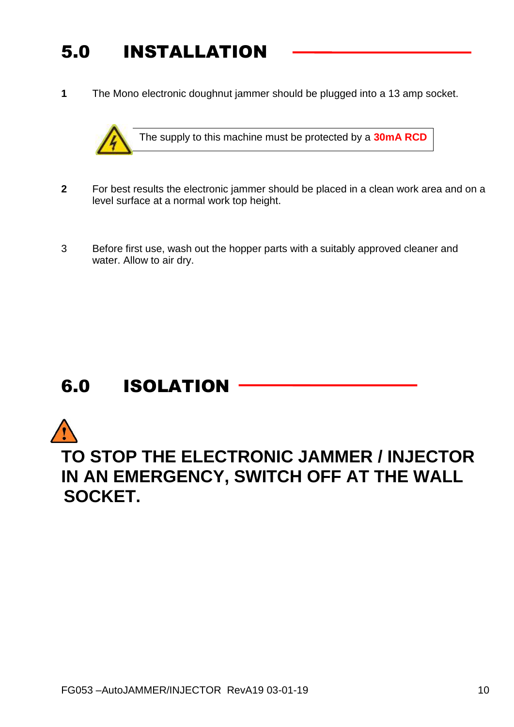# 5.0 INSTALLATION

**1** The Mono electronic doughnut jammer should be plugged into a 13 amp socket.



The supply to this machine must be protected by a **30mA RCD**

- **2** For best results the electronic jammer should be placed in a clean work area and on a level surface at a normal work top height.
- 3 Before first use, wash out the hopper parts with a suitably approved cleaner and water. Allow to air dry.

# 6.0 ISOLATION

# **TO STOP THE ELECTRONIC JAMMER / INJECTOR IN AN EMERGENCY, SWITCH OFF AT THE WALL SOCKET.**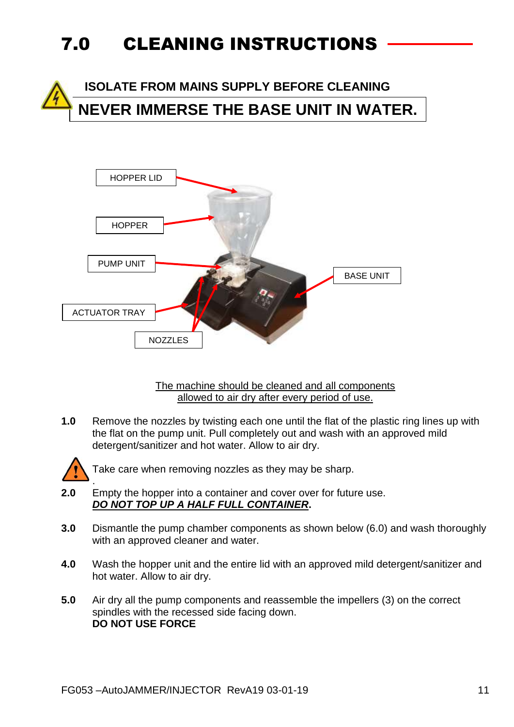# 7.0 CLEANING INSTRUCTIONS

 **ISOLATE FROM MAINS SUPPLY BEFORE CLEANING NEVER IMMERSE THE BASE UNIT IN WATER.**



The machine should be cleaned and all components allowed to air dry after every period of use.

**1.0** Remove the nozzles by twisting each one until the flat of the plastic ring lines up with the flat on the pump unit. Pull completely out and wash with an approved mild detergent/sanitizer and hot water. Allow to air dry.



Take care when removing nozzles as they may be sharp.

- . **2.0** Empty the hopper into a container and cover over for future use. *DO NOT TOP UP A HALF FULL CONTAINER***.**
- **3.0** Dismantle the pump chamber components as shown below (6.0) and wash thoroughly with an approved cleaner and water.
- **4.0** Wash the hopper unit and the entire lid with an approved mild detergent/sanitizer and hot water. Allow to air dry.
- **5.0** Air dry all the pump components and reassemble the impellers (3) on the correct spindles with the recessed side facing down. **DO NOT USE FORCE**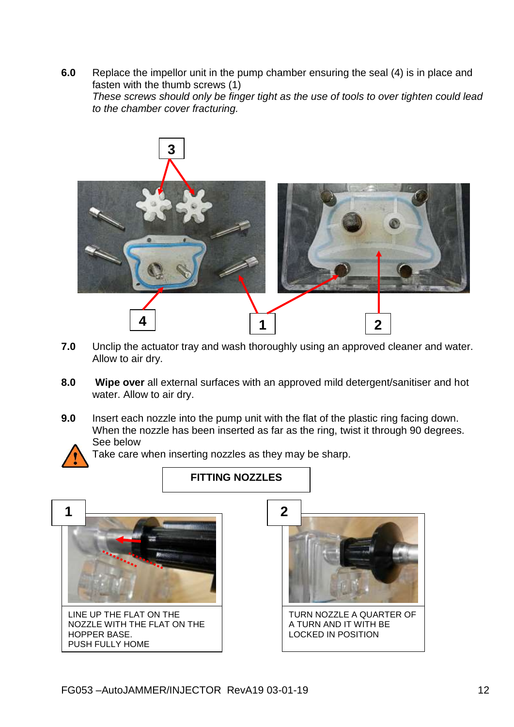**6.0** Replace the impellor unit in the pump chamber ensuring the seal (4) is in place and fasten with the thumb screws (1) *These screws should only be finger tight as the use of tools to over tighten could lead to the chamber cover fracturing.*



- **7.0** Unclip the actuator tray and wash thoroughly using an approved cleaner and water. Allow to air dry.
- **8.0 Wipe over** all external surfaces with an approved mild detergent/sanitiser and hot water. Allow to air dry.
- **9.0** Insert each nozzle into the pump unit with the flat of the plastic ring facing down. When the nozzle has been inserted as far as the ring, twist it through 90 degrees. See below



Take care when inserting nozzles as they may be sharp.

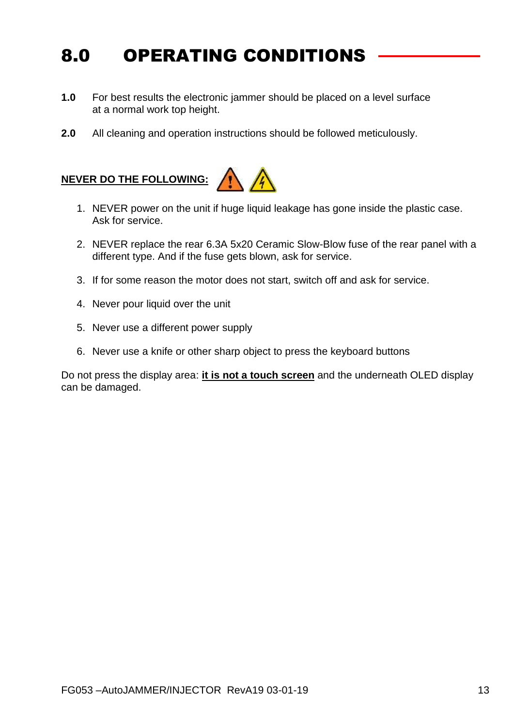# 8.0 OPERATING CONDITIONS

- **1.0** For best results the electronic jammer should be placed on a level surface at a normal work top height.
- **2.0** All cleaning and operation instructions should be followed meticulously.

#### **NEVER DO THE FOLLOWING:**



- 1. NEVER power on the unit if huge liquid leakage has gone inside the plastic case. Ask for service.
- 2. NEVER replace the rear 6.3A 5x20 Ceramic Slow-Blow fuse of the rear panel with a different type. And if the fuse gets blown, ask for service.
- 3. If for some reason the motor does not start, switch off and ask for service.
- 4. Never pour liquid over the unit
- 5. Never use a different power supply
- 6. Never use a knife or other sharp object to press the keyboard buttons

Do not press the display area: **it is not a touch screen** and the underneath OLED display can be damaged.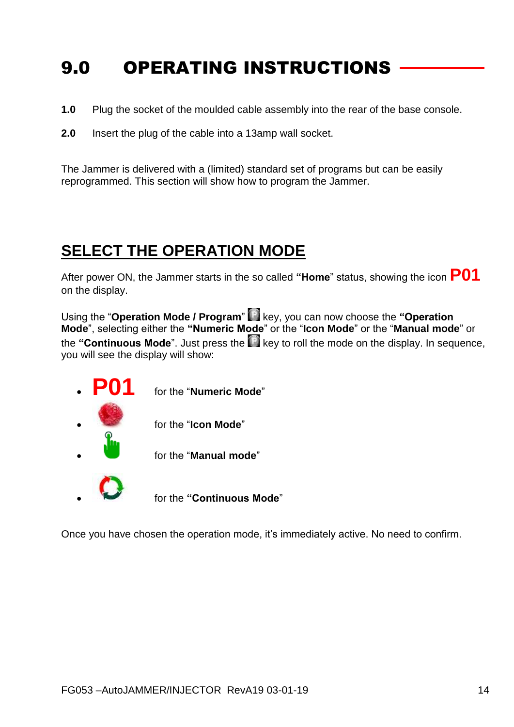# 9.0 OPERATING INSTRUCTIONS

- **1.0** Plug the socket of the moulded cable assembly into the rear of the base console.
- **2.0** Insert the plug of the cable into a 13amp wall socket.

The Jammer is delivered with a (limited) standard set of programs but can be easily reprogrammed. This section will show how to program the Jammer.

### **SELECT THE OPERATION MODE**

After power ON, the Jammer starts in the so called **"Home**" status, showing the icon **P01** on the display.

Using the "**Operation Mode / Program**" key, you can now choose the **"Operation Mode**", selecting either the **"Numeric Mode**" or the "**Icon Mode**" or the "**Manual mode**" or the "**Continuous Mode**". Just press the **R** key to roll the mode on the display. In sequence, you will see the display will show:



Once you have chosen the operation mode, it's immediately active. No need to confirm.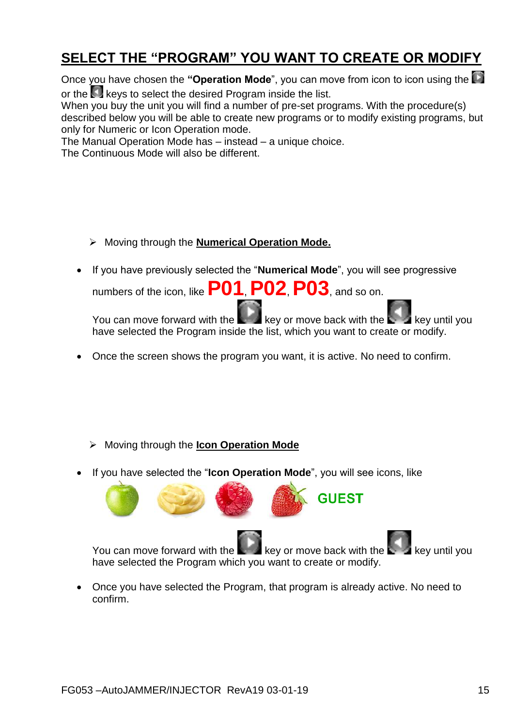### **SELECT THE "PROGRAM" YOU WANT TO CREATE OR MODIFY**

Once you have chosen the "Operation Mode", you can move from icon to icon using the or the **keys to select the desired Program inside the list.** 

When you buy the unit you will find a number of pre-set programs. With the procedure(s) described below you will be able to create new programs or to modify existing programs, but only for Numeric or Icon Operation mode.

The Manual Operation Mode has – instead – a unique choice.

The Continuous Mode will also be different.

- Moving through the **Numerical Operation Mode.**
- If you have previously selected the "**Numerical Mode**", you will see progressive

numbers of the icon, like **P01**, **P02**, **P03**, and so on.

You can move forward with the  $\mathbb{R}^n$  key or move back with the  $\mathbb{R}^n$  key until you have selected the Program inside the list, which you want to create or modify.

You can move forward with the  $\mathbb{R}$  key or move back with the  $\mathbb{R}$  - key until you

**GUEST** 

• Once you have selected the Program, that program is already active. No need to

Once the screen shows the program you want, it is active. No need to confirm.

- Moving through the **Icon Operation Mode**
- If you have selected the "**Icon Operation Mode**", you will see icons, like

have selected the Program which you want to create or modify.

confirm.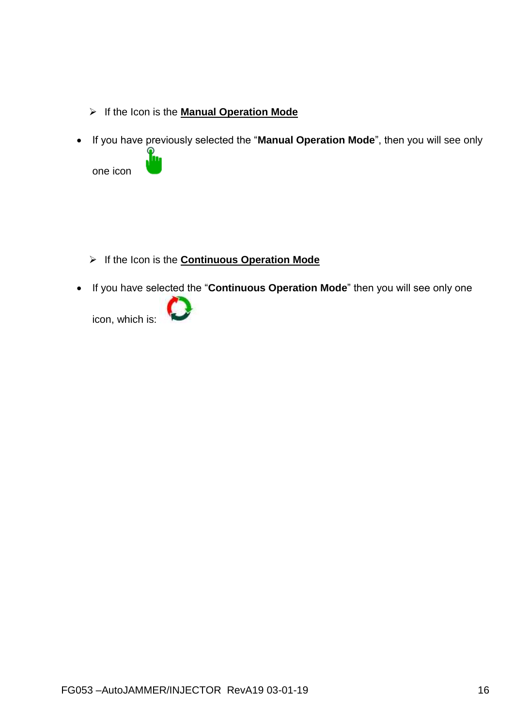- If the Icon is the **Manual Operation Mode**
- If you have previously selected the "**Manual Operation Mode**", then you will see only one icon

- If the Icon is the **Continuous Operation Mode**
- If you have selected the "**Continuous Operation Mode**" then you will see only one

icon, which is: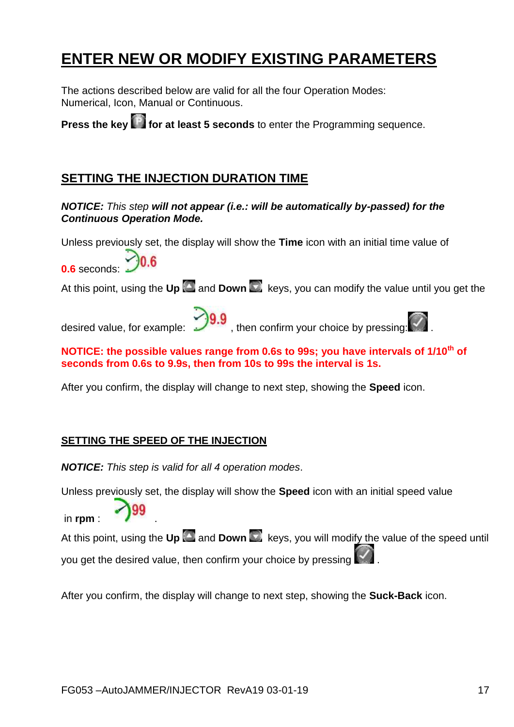## **ENTER NEW OR MODIFY EXISTING PARAMETERS**

The actions described below are valid for all the four Operation Modes: Numerical, Icon, Manual or Continuous.

**Press the key <b>for at least 5 seconds** to enter the Programming sequence.

#### **SETTING THE INJECTION DURATION TIME**

#### *NOTICE: This step will not appear (i.e.: will be automatically by-passed) for the Continuous Operation Mode.*

Unless previously set, the display will show the **Time** icon with an initial time value of

**0.6** seconds:

At this point, using the **Up** and **Down** keys, you can modify the value until you get the

desired value, for example:  $\frac{1}{2}$ , then confirm your choice by pressing:



#### **NOTICE: the possible values range from 0.6s to 99s; you have intervals of 1/10th of seconds from 0.6s to 9.9s, then from 10s to 99s the interval is 1s.**

After you confirm, the display will change to next step, showing the **Speed** icon.

#### **SETTING THE SPEED OF THE INJECTION**

*NOTICE: This step is valid for all 4 operation modes*.

Unless previously set, the display will show the **Speed** icon with an initial speed value

in rpm :  $\bigcirc$ 99

At this point, using the **Up A** and **Down R** keys, you will modify the value of the speed until you get the desired value, then confirm your choice by pressing .

After you confirm, the display will change to next step, showing the **Suck-Back** icon.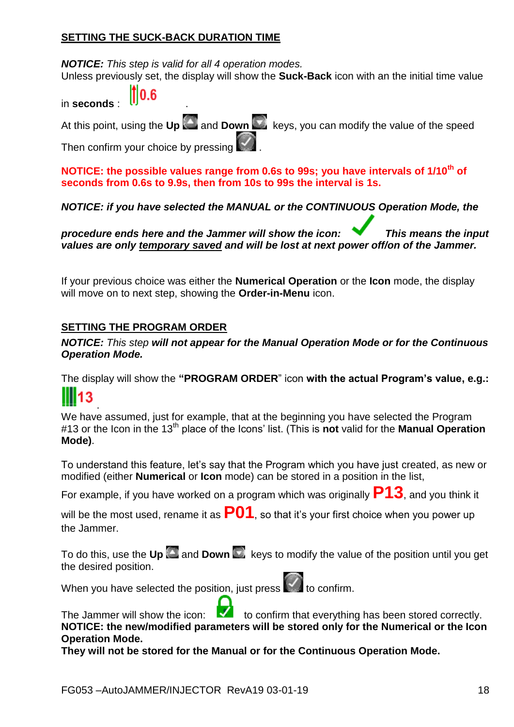#### **SETTING THE SUCK-BACK DURATION TIME**

*NOTICE: This step is valid for all 4 operation modes.* Unless previously set, the display will show the **Suck-Back** icon with an the initial time value

|              | $\parallel$ 0.6 |
|--------------|-----------------|
| in seconds : |                 |

At this point, using the **Up** and **Down Keys, you can modify the value of the speed** 

Then confirm your choice by pressing

**NOTICE: the possible values range from 0.6s to 99s; you have intervals of 1/10th of seconds from 0.6s to 9.9s, then from 10s to 99s the interval is 1s.**

*NOTICE: if you have selected the MANUAL or the CONTINUOUS Operation Mode, the* 

*procedure ends here and the Jammer will show the icon: This means the input values are only temporary saved and will be lost at next power off/on of the Jammer.*

If your previous choice was either the **Numerical Operation** or the **Icon** mode, the display will move on to next step, showing the **Order-in-Menu** icon.

#### **SETTING THE PROGRAM ORDER**

*NOTICE: This step will not appear for the Manual Operation Mode or for the Continuous Operation Mode.*

The display will show the **"PROGRAM ORDER**" icon **with the actual Program's value, e.g.:** 13

. We have assumed, just for example, that at the beginning you have selected the Program #13 or the Icon in the 13th place of the Icons' list. (This is **not** valid for the **Manual Operation Mode)**.

To understand this feature, let's say that the Program which you have just created, as new or modified (either **Numerical** or **Icon** mode) can be stored in a position in the list,

For example, if you have worked on a program which was originally **P13**, and you think it

will be the most used, rename it as **P01**, so that it's your first choice when you power up the Jammer.

To do this, use the **Up**  $\Box$  and **Down**  $\Box$  keys to modify the value of the position until you get the desired position.

When you have selected the position, just press  $\mathbb{R}$  to confirm.

The Jammer will show the icon: to confirm that everything has been stored correctly. **NOTICE: the new/modified parameters will be stored only for the Numerical or the Icon Operation Mode.** 

**They will not be stored for the Manual or for the Continuous Operation Mode.**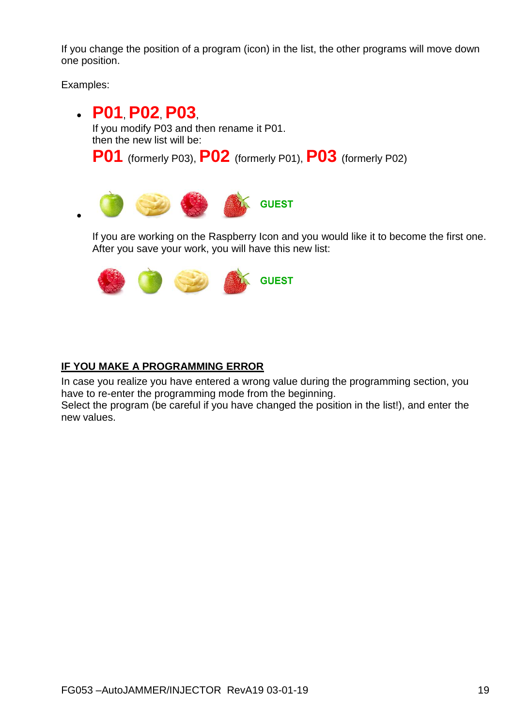If you change the position of a program (icon) in the list, the other programs will move down one position.

Examples:

 **P01**, **P02**, **P03**, If you modify P03 and then rename it P01. then the new list will be: **P01** (formerly P03), **P02** (formerly P01), **P03** (formerly P02) **GUEST**  $\bullet$ 

If you are working on the Raspberry Icon and you would like it to become the first one. After you save your work, you will have this new list:



#### **IF YOU MAKE A PROGRAMMING ERROR**

In case you realize you have entered a wrong value during the programming section, you have to re-enter the programming mode from the beginning.

Select the program (be careful if you have changed the position in the list!), and enter the new values.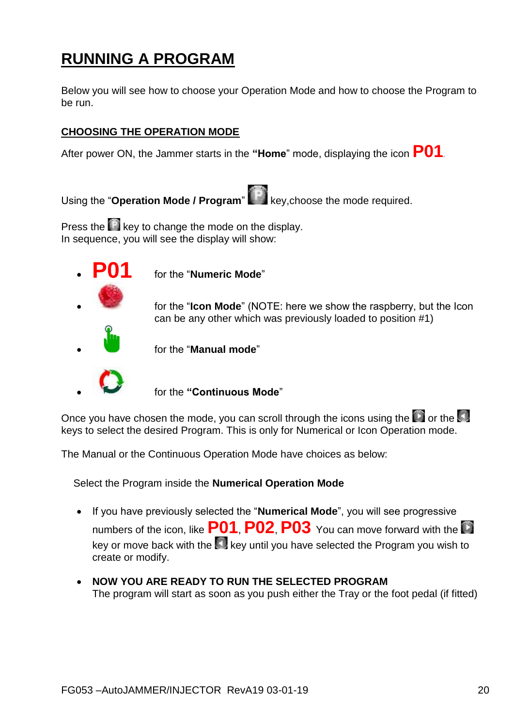# **RUNNING A PROGRAM**

Below you will see how to choose your Operation Mode and how to choose the Program to be run.

#### **CHOOSING THE OPERATION MODE**

After power ON, the Jammer starts in the **"Home**" mode, displaying the icon **P01**.

Using the "**Operation Mode / Program**" key,choose the mode required.

Press the  $\mathbb{R}$  key to change the mode on the display. In sequence, you will see the display will show:



for the "**Numeric Mode**"

 for the "**Icon Mode**" (NOTE: here we show the raspberry, but the Icon can be any other which was previously loaded to position #1)



for the "**Manual mode**"

for the **"Continuous Mode**"

Once you have chosen the mode, you can scroll through the icons using the  $\Box$  or the  $\Box$ keys to select the desired Program. This is only for Numerical or Icon Operation mode.

The Manual or the Continuous Operation Mode have choices as below:

Select the Program inside the **Numerical Operation Mode**

- If you have previously selected the "**Numerical Mode**", you will see progressive numbers of the icon, like **P01**, **P02**, **P03** You can move forward with the key or move back with the key until you have selected the Program you wish to create or modify.
- **NOW YOU ARE READY TO RUN THE SELECTED PROGRAM** The program will start as soon as you push either the Tray or the foot pedal (if fitted)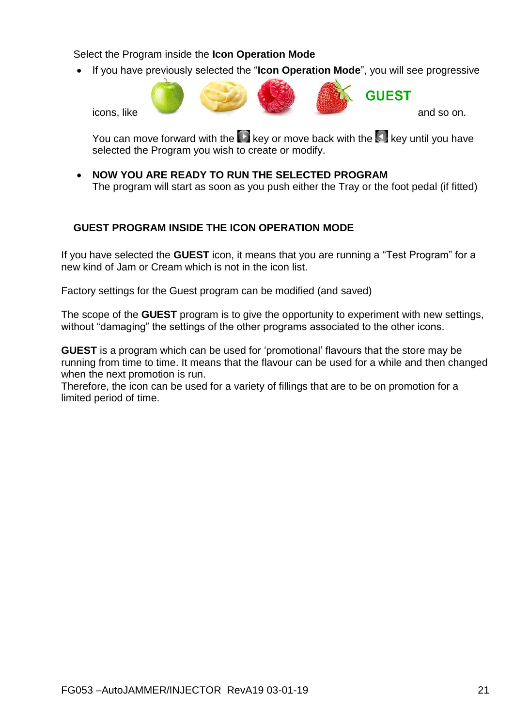Select the Program inside the **Icon Operation Mode**

• If you have previously selected the "**Icon Operation Mode**", you will see progressive



You can move forward with the  $\blacksquare$  key or move back with the  $\blacksquare$  key until you have selected the Program you wish to create or modify.

 **NOW YOU ARE READY TO RUN THE SELECTED PROGRAM** The program will start as soon as you push either the Tray or the foot pedal (if fitted)

#### **GUEST PROGRAM INSIDE THE ICON OPERATION MODE**

If you have selected the **GUEST** icon, it means that you are running a "Test Program" for a new kind of Jam or Cream which is not in the icon list.

Factory settings for the Guest program can be modified (and saved)

The scope of the **GUEST** program is to give the opportunity to experiment with new settings, without "damaging" the settings of the other programs associated to the other icons.

**GUEST** is a program which can be used for 'promotional' flavours that the store may be running from time to time. It means that the flavour can be used for a while and then changed when the next promotion is run.

Therefore, the icon can be used for a variety of fillings that are to be on promotion for a limited period of time.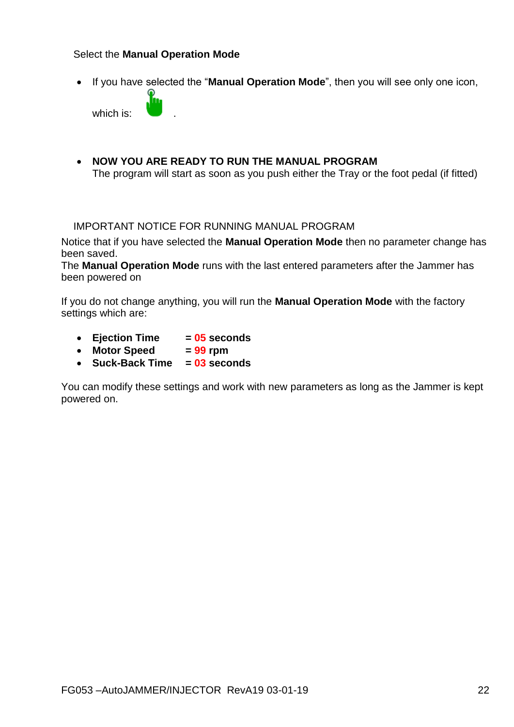#### Select the **Manual Operation Mode**

If you have selected the "**Manual Operation Mode**", then you will see only one icon,

which is:

 **NOW YOU ARE READY TO RUN THE MANUAL PROGRAM** The program will start as soon as you push either the Tray or the foot pedal (if fitted)

#### IMPORTANT NOTICE FOR RUNNING MANUAL PROGRAM

Notice that if you have selected the **Manual Operation Mode** then no parameter change has been saved.

The **Manual Operation Mode** runs with the last entered parameters after the Jammer has been powered on

If you do not change anything, you will run the **Manual Operation Mode** with the factory settings which are:

- **Ejection Time = 05 seconds**
- Motor Speed = 99 rpm
- **Suck-Back Time = 03 seconds**

You can modify these settings and work with new parameters as long as the Jammer is kept powered on.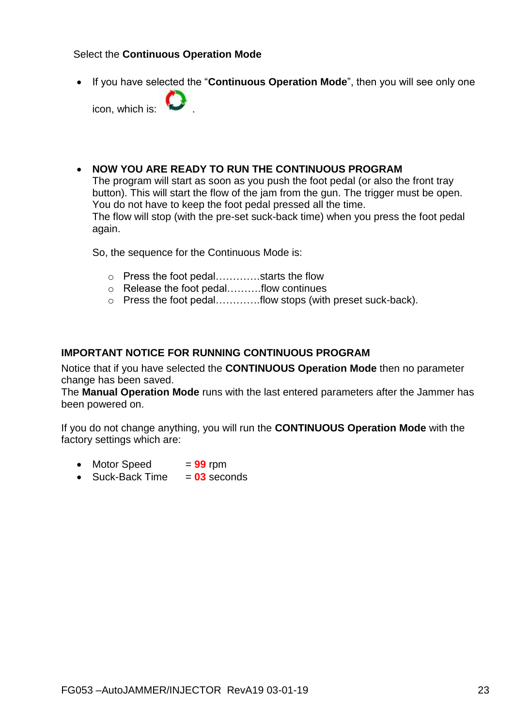#### Select the **Continuous Operation Mode**

If you have selected the "**Continuous Operation Mode**", then you will see only one

icon, which is:

#### **NOW YOU ARE READY TO RUN THE CONTINUOUS PROGRAM**

The program will start as soon as you push the foot pedal (or also the front tray button). This will start the flow of the jam from the gun. The trigger must be open. You do not have to keep the foot pedal pressed all the time. The flow will stop (with the pre-set suck-back time) when you press the foot pedal again.

So, the sequence for the Continuous Mode is:

- o Press the foot pedal………….starts the flow
- o Release the foot pedal……….flow continues
- o Press the foot pedal………….flow stops (with preset suck-back).

#### **IMPORTANT NOTICE FOR RUNNING CONTINUOUS PROGRAM**

Notice that if you have selected the **CONTINUOUS Operation Mode** then no parameter change has been saved.

The **Manual Operation Mode** runs with the last entered parameters after the Jammer has been powered on.

If you do not change anything, you will run the **CONTINUOUS Operation Mode** with the factory settings which are:

- $\bullet$  Motor Speed  $= 99$  rpm
- Suck-Back Time = 03 seconds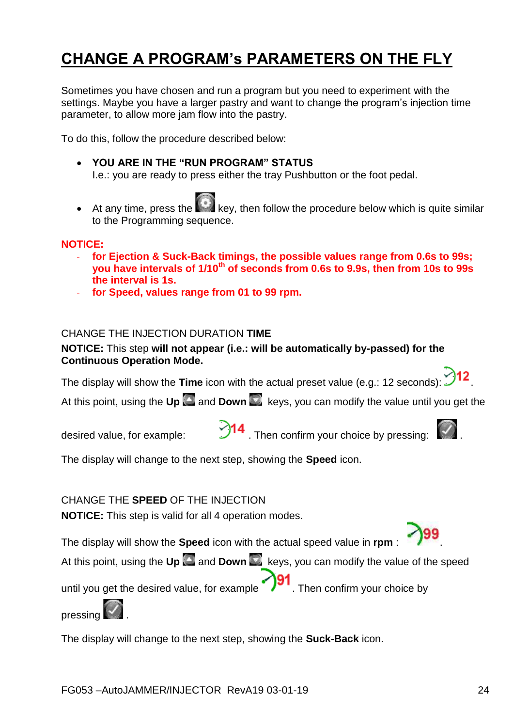# **CHANGE A PROGRAM's PARAMETERS ON THE FLY**

Sometimes you have chosen and run a program but you need to experiment with the settings. Maybe you have a larger pastry and want to change the program's injection time parameter, to allow more jam flow into the pastry.

To do this, follow the procedure described below:

#### **YOU ARE IN THE "RUN PROGRAM" STATUS**

I.e.: you are ready to press either the tray Pushbutton or the foot pedal.

At any time, press the key, then follow the procedure below which is quite similar to the Programming sequence.

#### **NOTICE:**

- **for Ejection & Suck-Back timings, the possible values range from 0.6s to 99s; you have intervals of 1/10th of seconds from 0.6s to 9.9s, then from 10s to 99s the interval is 1s.**
- **for Speed, values range from 01 to 99 rpm.**

#### CHANGE THE INJECTION DURATION **TIME**

#### **NOTICE:** This step **will not appear (i.e.: will be automatically by-passed) for the Continuous Operation Mode.**

The display will show the **Time** icon with the actual preset value (e.g.: 12 seconds):  $\mathcal{I}$ 

At this point, using the Up and Down **Ref** keys, you can modify the value until you get the



desired value, for example:  $\mathcal{P}$ <sup>14</sup>. Then confirm your choice by pressing:



The display will change to the next step, showing the **Speed** icon.

CHANGE THE **SPEED** OF THE INJECTION

**NOTICE:** This step is valid for all 4 operation modes.

The display will show the **Speed** icon with the actual speed value in **rpm** : .

At this point, using the Up and Down **Read Servers**, you can modify the value of the speed

until you get the desired value, for example  $\bigcirc$  Then confirm your choice by

pressing

The display will change to the next step, showing the **Suck-Back** icon.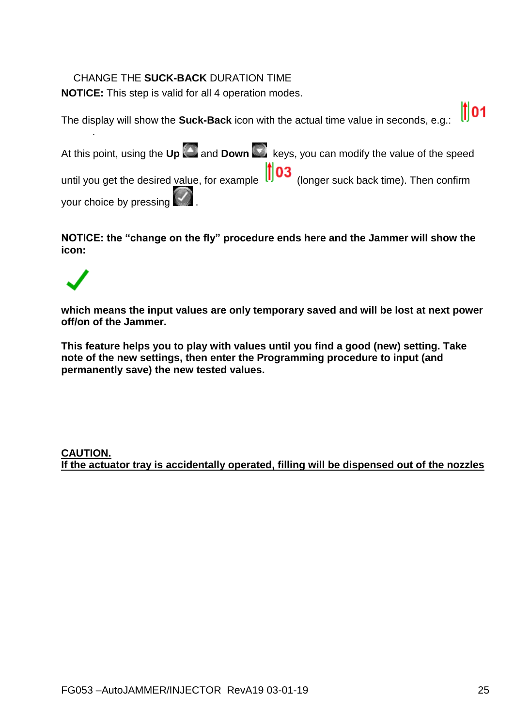#### CHANGE THE **SUCK-BACK** DURATION TIME

**NOTICE:** This step is valid for all 4 operation modes.

 $\parallel$ 101 The display will show the **Suck-Back** icon with the actual time value in seconds, e.g.:

At this point, using the Up **and Down Reys**, you can modify the value of the speed until you get the desired value, for example  $\left| \cdot \right|$  03 (longer suck back time). Then confirm your choice by pressing

**NOTICE: the "change on the fly" procedure ends here and the Jammer will show the icon:**

.

**which means the input values are only temporary saved and will be lost at next power off/on of the Jammer.**

**This feature helps you to play with values until you find a good (new) setting. Take note of the new settings, then enter the Programming procedure to input (and permanently save) the new tested values.**

#### **CAUTION. If the actuator tray is accidentally operated, filling will be dispensed out of the nozzles**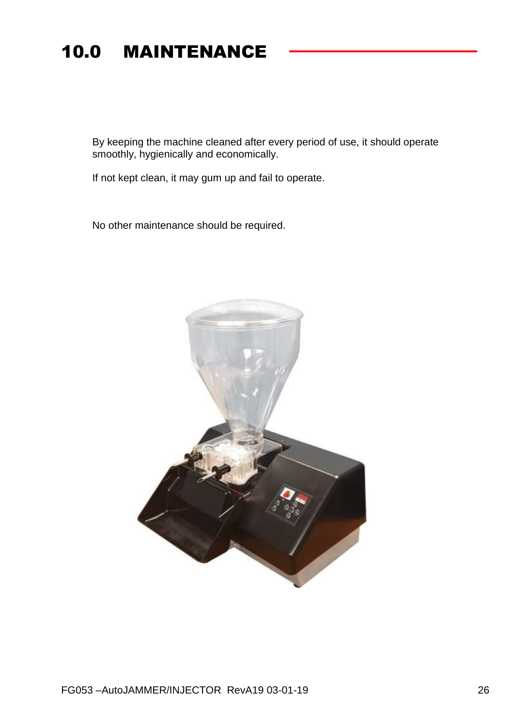# 10.0 MAINTENANCE

By keeping the machine cleaned after every period of use, it should operate smoothly, hygienically and economically.

If not kept clean, it may gum up and fail to operate.

No other maintenance should be required.

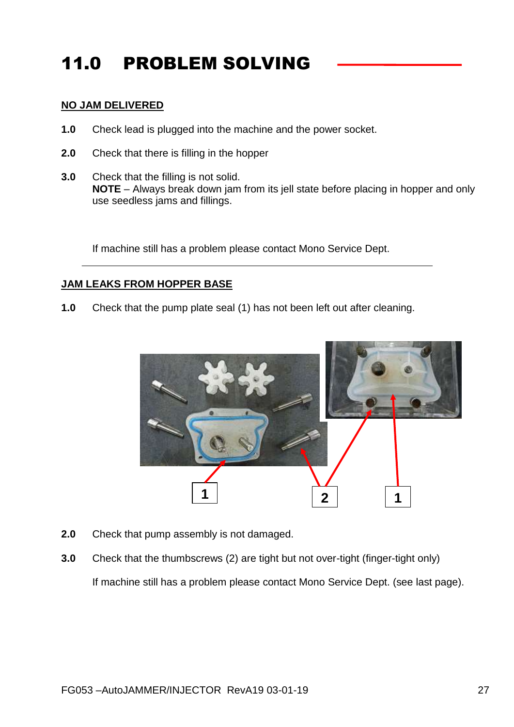# 11.0 PROBLEM SOLVING

#### **NO JAM DELIVERED**

- **1.0** Check lead is plugged into the machine and the power socket.
- **2.0** Check that there is filling in the hopper
- **3.0** Check that the filling is not solid. **NOTE** – Always break down jam from its jell state before placing in hopper and only use seedless jams and fillings.

If machine still has a problem please contact Mono Service Dept.

#### **JAM LEAKS FROM HOPPER BASE**

**1.0** Check that the pump plate seal (1) has not been left out after cleaning.



- **2.0** Check that pump assembly is not damaged.
- **3.0** Check that the thumbscrews (2) are tight but not over-tight (finger-tight only) If machine still has a problem please contact Mono Service Dept. (see last page).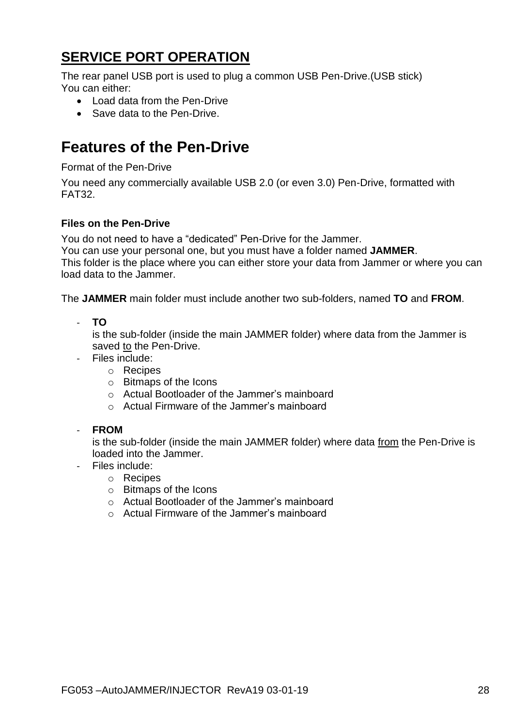### **SERVICE PORT OPERATION**

The rear panel USB port is used to plug a common USB Pen-Drive.(USB stick) You can either:

- Load data from the Pen-Drive
- Save data to the Pen-Drive.

### **Features of the Pen-Drive**

Format of the Pen-Drive

You need any commercially available USB 2.0 (or even 3.0) Pen-Drive, formatted with FAT32.

#### **Files on the Pen-Drive**

You do not need to have a "dedicated" Pen-Drive for the Jammer.

You can use your personal one, but you must have a folder named **JAMMER**.

This folder is the place where you can either store your data from Jammer or where you can load data to the Jammer.

The **JAMMER** main folder must include another two sub-folders, named **TO** and **FROM**.

- **TO**

is the sub-folder (inside the main JAMMER folder) where data from the Jammer is saved to the Pen-Drive.

- Files include:
	- o Recipes
	- o Bitmaps of the Icons
	- o Actual Bootloader of the Jammer's mainboard
	- o Actual Firmware of the Jammer's mainboard
- **FROM**

is the sub-folder (inside the main JAMMER folder) where data from the Pen-Drive is loaded into the Jammer.

- Files include:
	- o Recipes
	- o Bitmaps of the Icons
	- o Actual Bootloader of the Jammer's mainboard
	- o Actual Firmware of the Jammer's mainboard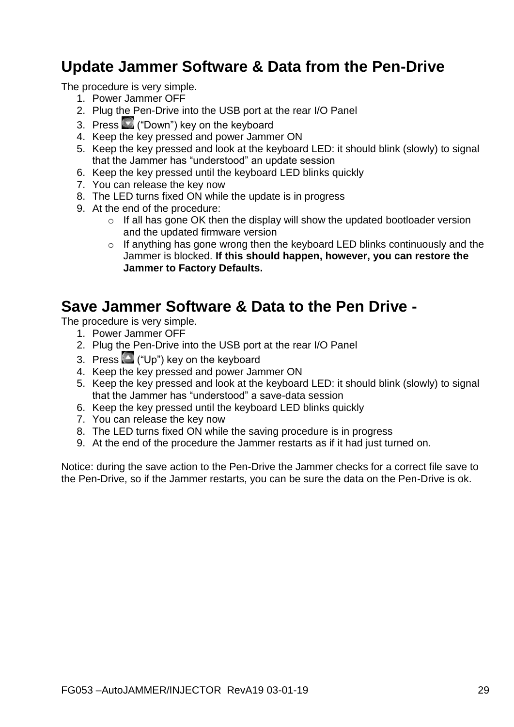### **Update Jammer Software & Data from the Pen-Drive**

The procedure is very simple.

- 1. Power Jammer OFF
- 2. Plug the Pen-Drive into the USB port at the rear I/O Panel
- 3. Press ("Down") key on the keyboard
- 4. Keep the key pressed and power Jammer ON
- 5. Keep the key pressed and look at the keyboard LED: it should blink (slowly) to signal that the Jammer has "understood" an update session
- 6. Keep the key pressed until the keyboard LED blinks quickly
- 7. You can release the key now
- 8. The LED turns fixed ON while the update is in progress
- 9. At the end of the procedure:
	- o If all has gone OK then the display will show the updated bootloader version and the updated firmware version
	- $\circ$  If anything has gone wrong then the keyboard LED blinks continuously and the Jammer is blocked. **If this should happen, however, you can restore the Jammer to Factory Defaults.**

### **Save Jammer Software & Data to the Pen Drive -**

The procedure is very simple.

- 1. Power Jammer OFF
- 2. Plug the Pen-Drive into the USB port at the rear I/O Panel
- 3. Press  $\Box$  ("Up") key on the keyboard
- 4. Keep the key pressed and power Jammer ON
- 5. Keep the key pressed and look at the keyboard LED: it should blink (slowly) to signal that the Jammer has "understood" a save-data session
- 6. Keep the key pressed until the keyboard LED blinks quickly
- 7. You can release the key now
- 8. The LED turns fixed ON while the saving procedure is in progress
- 9. At the end of the procedure the Jammer restarts as if it had just turned on.

Notice: during the save action to the Pen-Drive the Jammer checks for a correct file save to the Pen-Drive, so if the Jammer restarts, you can be sure the data on the Pen-Drive is ok.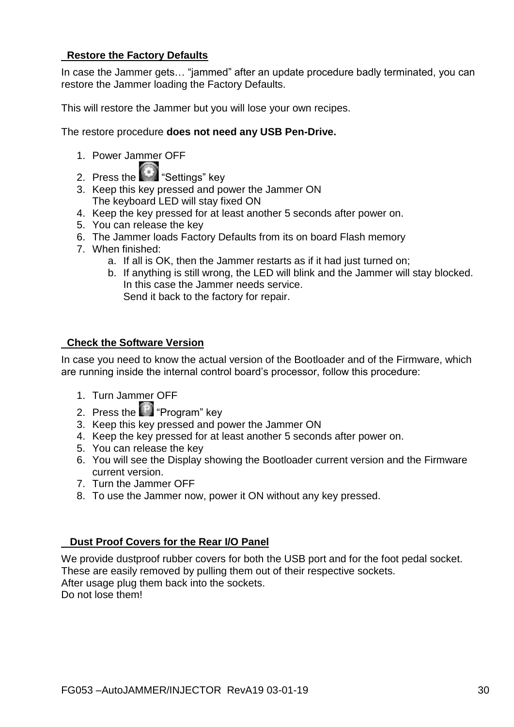#### **Restore the Factory Defaults**

In case the Jammer gets… "jammed" after an update procedure badly terminated, you can restore the Jammer loading the Factory Defaults.

This will restore the Jammer but you will lose your own recipes.

The restore procedure **does not need any USB Pen-Drive.**

- 1. Power Jammer OFF
- 2. Press the "Settings" key
- 3. Keep this key pressed and power the Jammer ON The keyboard LED will stay fixed ON
- 4. Keep the key pressed for at least another 5 seconds after power on.
- 5. You can release the key
- 6. The Jammer loads Factory Defaults from its on board Flash memory
- 7. When finished:
	- a. If all is OK, then the Jammer restarts as if it had just turned on;
	- b. If anything is still wrong, the LED will blink and the Jammer will stay blocked. In this case the Jammer needs service. Send it back to the factory for repair.

#### **Check the Software Version**

In case you need to know the actual version of the Bootloader and of the Firmware, which are running inside the internal control board's processor, follow this procedure:

- 1. Turn Jammer OFF
- 2. Press the "Program" key
- 3. Keep this key pressed and power the Jammer ON
- 4. Keep the key pressed for at least another 5 seconds after power on.
- 5. You can release the key
- 6. You will see the Display showing the Bootloader current version and the Firmware current version.
- 7. Turn the Jammer OFF
- 8. To use the Jammer now, power it ON without any key pressed.

#### **Dust Proof Covers for the Rear I/O Panel**

We provide dustproof rubber covers for both the USB port and for the foot pedal socket. These are easily removed by pulling them out of their respective sockets. After usage plug them back into the sockets. Do not lose them!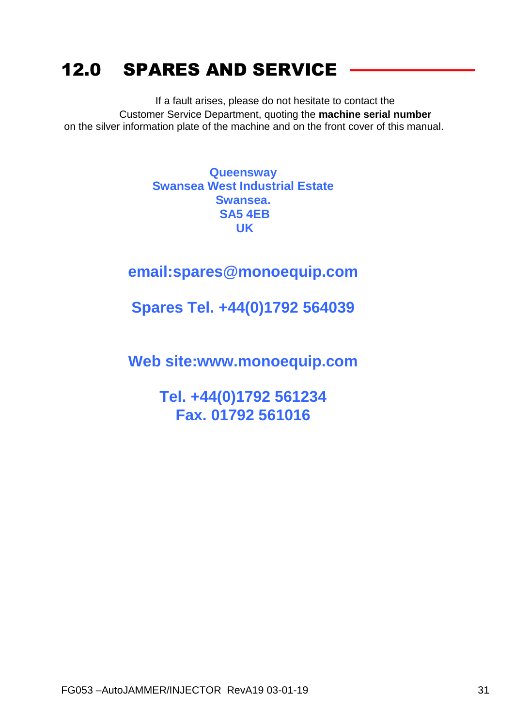# 12.0 SPARES AND SERVICE

If a fault arises, please do not hesitate to contact the Customer Service Department, quoting the **machine serial number** on the silver information plate of the machine and on the front cover of this manual.

> **Queensway Swansea West Industrial Estate Swansea. SA5 4EB UK**

### **email:spares@monoequip.com**

### **Spares Tel. +44(0)1792 564039**

**Web site:www.monoequip.com**

**Tel. +44(0)1792 561234 Fax. 01792 561016**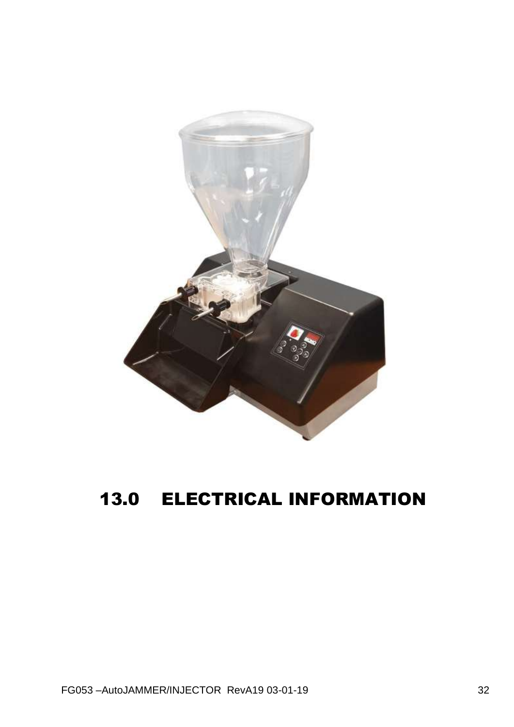

# **13.0 ELECTRICAL INFORMATION**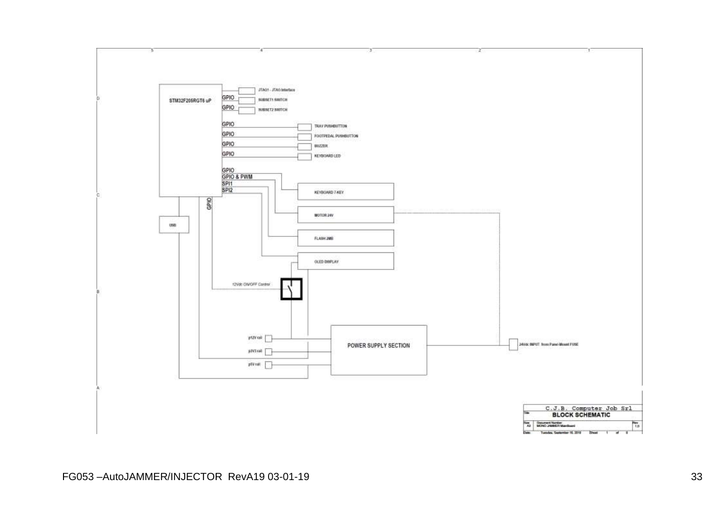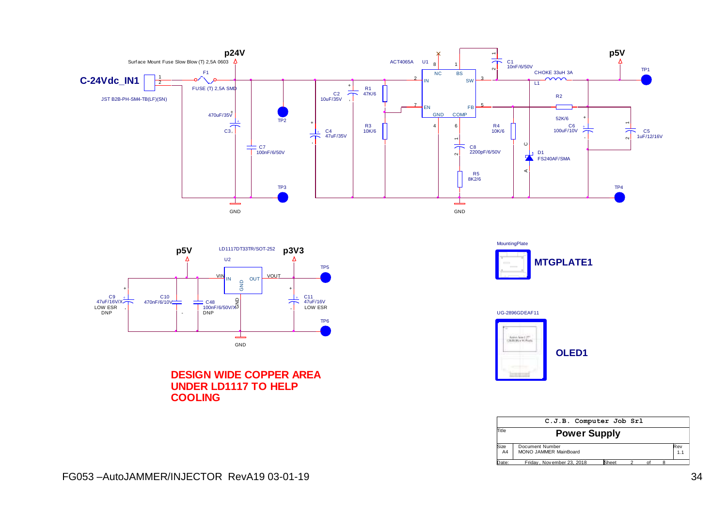



**DESIGN WIDE COPPER AREA UNDER LD1117 TO HELP COOLING**





|            | C.J.B. Computer Job Srl                         |       |  |    |  |            |  |  |
|------------|-------------------------------------------------|-------|--|----|--|------------|--|--|
| Title      | <b>Power Supply</b>                             |       |  |    |  |            |  |  |
| Size<br>A4 | Document Number<br><b>MONO JAMMER MainBoard</b> |       |  |    |  | Rev<br>1.1 |  |  |
| Date:      | Friday. November 23, 2018                       | Sheet |  | ∩f |  |            |  |  |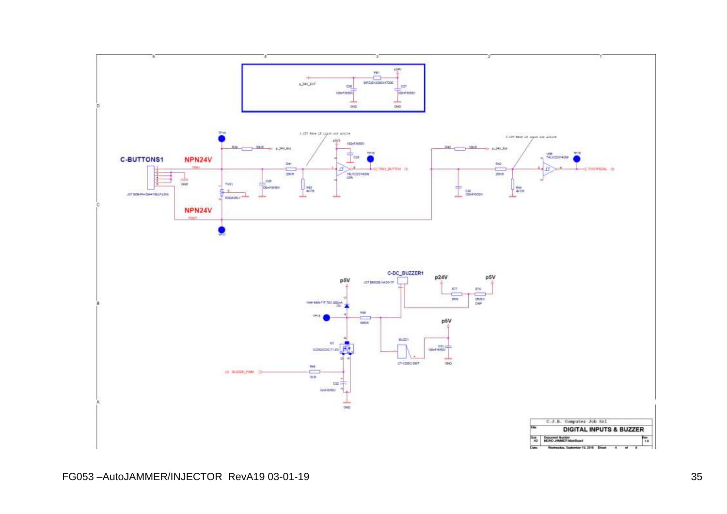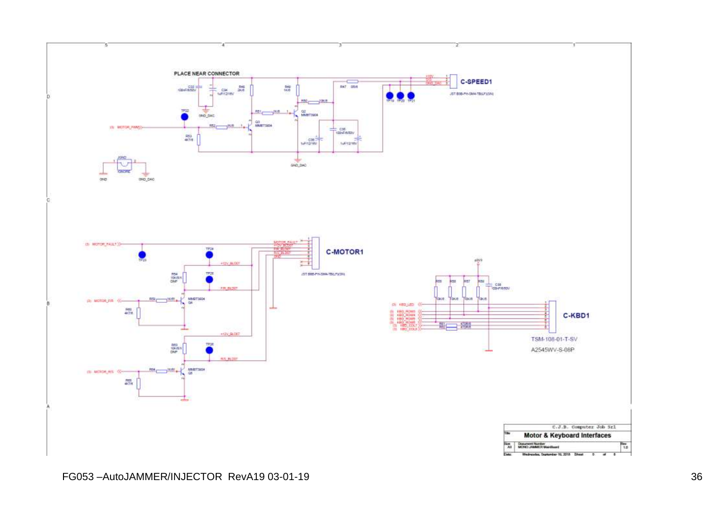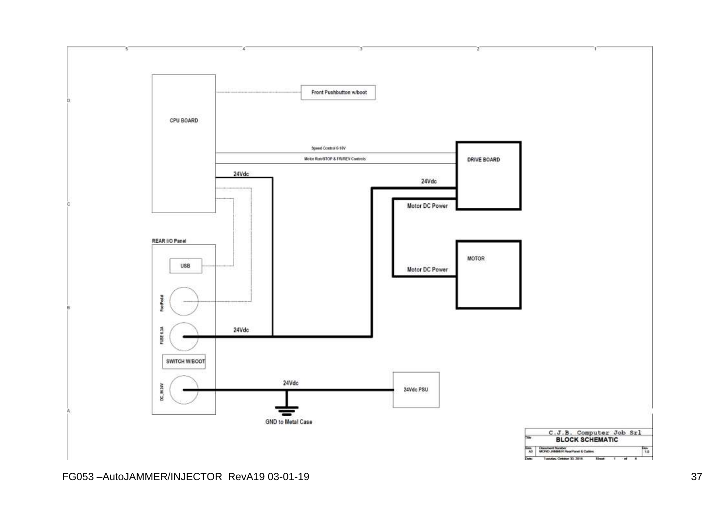